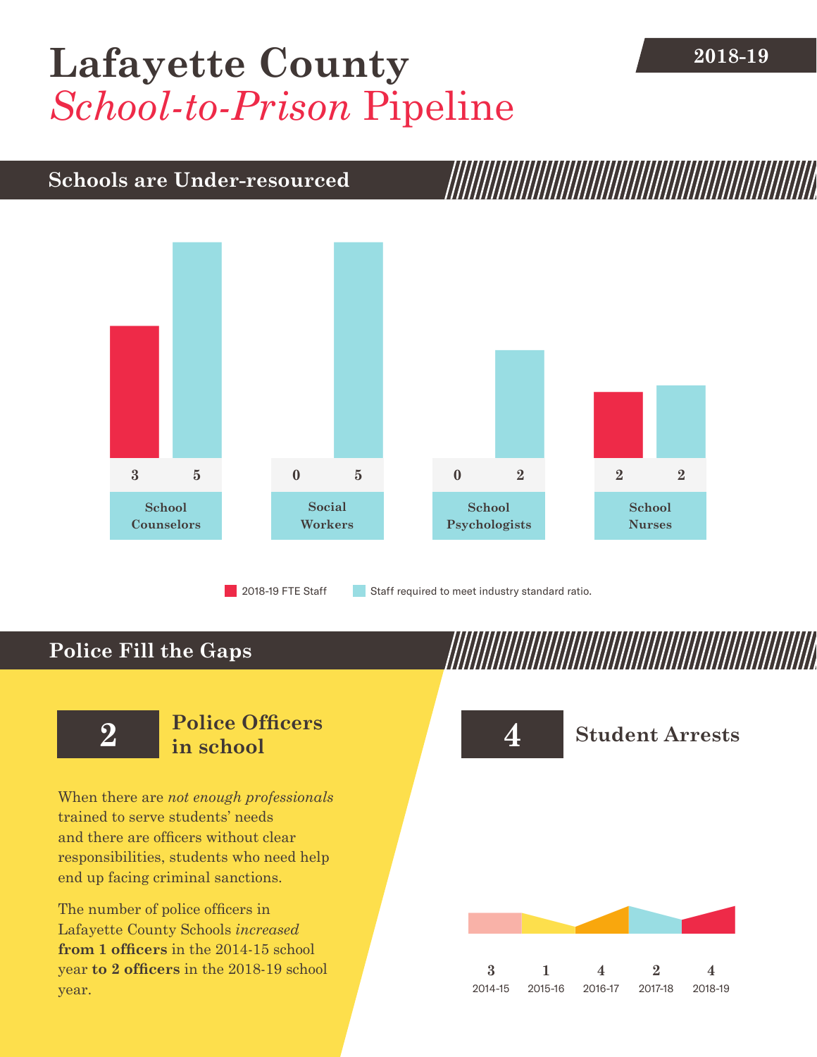## **2018-19 [Lafayette County](DBF_County)** *School-to-Prison* Pipeline

## **Schools are Under-resourced**



2018-19 FTE Staff **Staff required to meet industry standard ratio.** 

## **Police Fill the Gaps**

When there are *not enough professionals* trained to serve students' needs and there are officers without clear responsibilities, students who need help end up facing criminal sanctions.

The number of police officers in [Lafayette County](DBF_County) Schools *increased* **from [1](DBF_PO1415) officers** in the 2014-15 school year **to [2](DBF_PO) officers** in the 2018-19 school year.